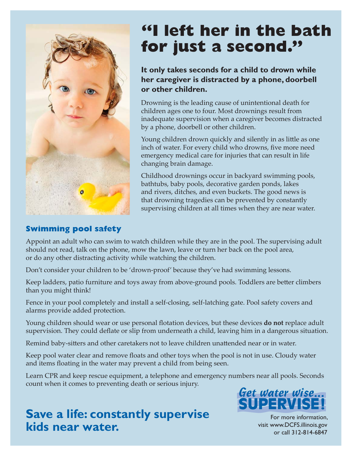

# **"I left her in the bath for just a second."**

### **It only takes seconds for a child to drown while her caregiver is distracted by a phone, doorbell or other children.**

Drowning is the leading cause of unintentional death for children ages one to four. Most drownings result from inadequate supervision when a caregiver becomes distracted by a phone, doorbell or other children.

Young children drown quickly and silently in as little as one inch of water. For every child who drowns, five more need emergency medical care for injuries that can result in life changing brain damage.

Childhood drownings occur in backyard swimming pools, bathtubs, baby pools, decorative garden ponds, lakes and rivers, ditches, and even buckets. The good news is that drowning tragedies can be prevented by constantly supervising children at all times when they are near water.

# **Swimming pool safety**

Appoint an adult who can swim to watch children while they are in the pool. The supervising adult should not read, talk on the phone, mow the lawn, leave or turn her back on the pool area, or do any other distracting activity while watching the children.

Don't consider your children to be 'drown-proof' because they've had swimming lessons.

Keep ladders, patio furniture and toys away from above-ground pools. Toddlers are better climbers than you might think!

Fence in your pool completely and install a self-closing, self-latching gate. Pool safety covers and alarms provide added protection.

Young children should wear or use personal flotation devices, but these devices **do not** replace adult supervision. They could deflate or slip from underneath a child, leaving him in a dangerous situation.

Remind baby-sitters and other caretakers not to leave children unattended near or in water.

Keep pool water clear and remove floats and other toys when the pool is not in use. Cloudy water and items floating in the water may prevent a child from being seen.

Learn CPR and keep rescue equipment, a telephone and emergency numbers near all pools. Seconds count when it comes to preventing death or serious injury.



# **Save a life: constantly supervise kids near water.**

For more information, visit www.DCFS.illinois.gov or call 312-814-6847